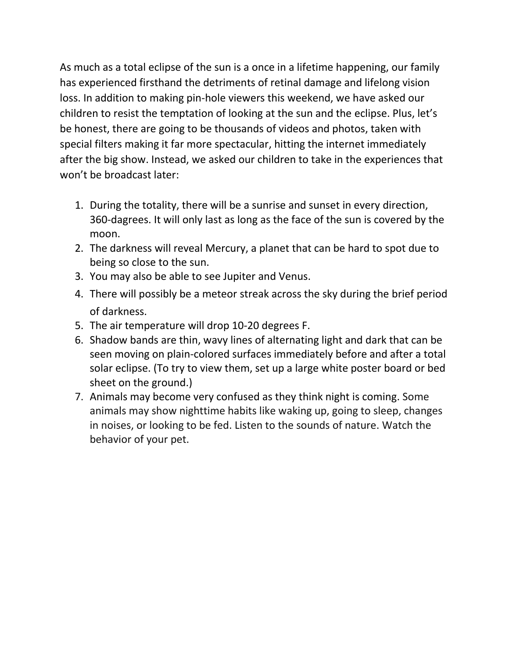As much as a total eclipse of the sun is a once in a lifetime happening, our family has experienced firsthand the detriments of retinal damage and lifelong vision loss. In addition to making pin-hole viewers this weekend, we have asked our children to resist the temptation of looking at the sun and the eclipse. Plus, let's be honest, there are going to be thousands of videos and photos, taken with special filters making it far more spectacular, hitting the internet immediately after the big show. Instead, we asked our children to take in the experiences that won't be broadcast later:

- 1. During the totality, there will be a sunrise and sunset in every direction, 360-dagrees. It will only last as long as the face of the sun is covered by the moon.
- 2. The darkness will reveal Mercury, a planet that can be hard to spot due to being so close to the sun.
- 3. You may also be able to see Jupiter and Venus.
- 4. There will possibly be a meteor streak across the sky during the brief period of darkness.
- 5. The air temperature will drop 10-20 degrees F.
- 6. Shadow bands are thin, wavy lines of alternating light and dark that can be seen moving on plain-colored surfaces immediately before and after a total solar eclipse. (To try to view them, set up a large white poster board or bed sheet on the ground.)
- 7. Animals may become very confused as they think night is coming. Some animals may show nighttime habits like waking up, going to sleep, changes in noises, or looking to be fed. Listen to the sounds of nature. Watch the behavior of your pet.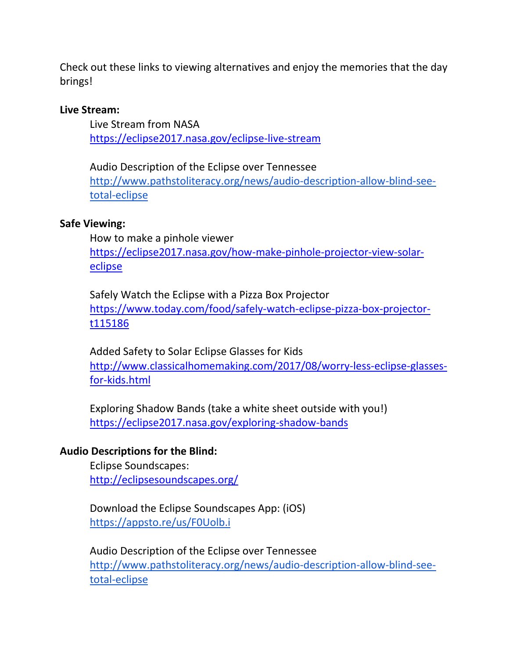Check out these links to viewing alternatives and enjoy the memories that the day brings!

### **Live Stream:**

Live Stream from NASA <https://eclipse2017.nasa.gov/eclipse-live-stream>

Audio Description of the Eclipse over Tennessee [http://www.pathstoliteracy.org/news/audio-description-allow-blind-see](http://www.pathstoliteracy.org/news/audio-description-allow-blind-see-total-eclipse)[total-eclipse](http://www.pathstoliteracy.org/news/audio-description-allow-blind-see-total-eclipse)

### **Safe Viewing:**

How to make a pinhole viewer [https://eclipse2017.nasa.gov/how-make-pinhole-projector-view-solar](https://eclipse2017.nasa.gov/how-make-pinhole-projector-view-solar-eclipse)[eclipse](https://eclipse2017.nasa.gov/how-make-pinhole-projector-view-solar-eclipse)

Safely Watch the Eclipse with a Pizza Box Projector [https://www.today.com/food/safely-watch-eclipse-pizza-box-projector](https://www.today.com/food/safely-watch-eclipse-pizza-box-projector-t115186)[t115186](https://www.today.com/food/safely-watch-eclipse-pizza-box-projector-t115186)

Added Safety to Solar Eclipse Glasses for Kids [http://www.classicalhomemaking.com/2017/08/worry-less-eclipse-glasses](http://www.classicalhomemaking.com/2017/08/worry-less-eclipse-glasses-for-kids.html)[for-kids.html](http://www.classicalhomemaking.com/2017/08/worry-less-eclipse-glasses-for-kids.html)

Exploring Shadow Bands (take a white sheet outside with you!) <https://eclipse2017.nasa.gov/exploring-shadow-bands>

## **Audio Descriptions for the Blind:**

Eclipse Soundscapes: <http://eclipsesoundscapes.org/>

Download the Eclipse Soundscapes App: (iOS) <https://appsto.re/us/F0Uolb.i>

Audio Description of the Eclipse over Tennessee [http://www.pathstoliteracy.org/news/audio-description-allow-blind-see](http://www.pathstoliteracy.org/news/audio-description-allow-blind-see-total-eclipse)[total-eclipse](http://www.pathstoliteracy.org/news/audio-description-allow-blind-see-total-eclipse)